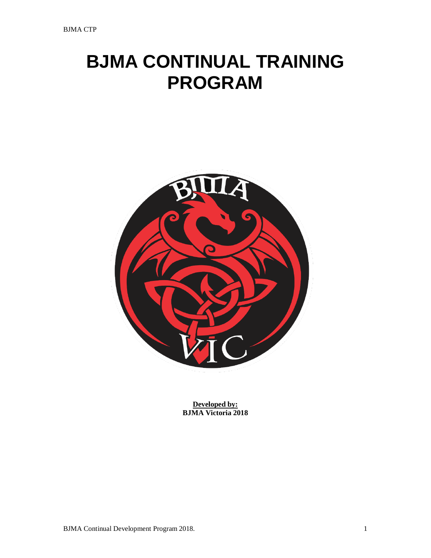# **BJMA CONTINUAL TRAINING PROGRAM**



**Developed by: BJMA Victoria 2018**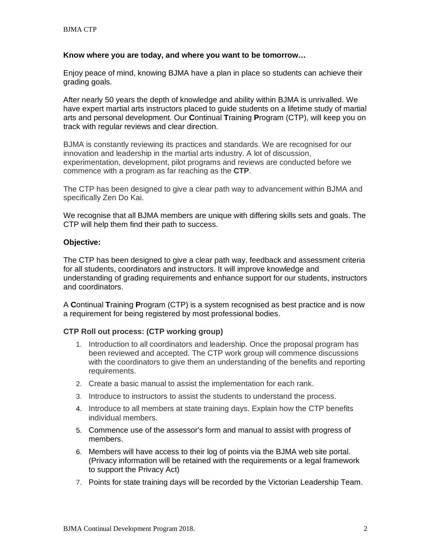### **Know where you are today, and where you want to be tomorrow…**

Enjoy peace of mind, knowing BJMA have a plan in place so students can achieve their grading goals.

After nearly 50 years the depth of knowledge and ability within BJMA is unrivalled. We have expert martial arts instructors placed to guide students on a lifetime study of martial arts and personal development. Our **C**ontinual **T**raining **P**rogram (CTP), will keep you on track with regular reviews and clear direction.

BJMA is constantly reviewing its practices and standards. We are recognised for our innovation and leadership in the martial arts industry. A lot of discussion, experimentation, development, pilot programs and reviews are conducted before we commence with a program as far reaching as the **CTP**.

The CTP has been designed to give a clear path way to advancement within BJMA and specifically Zen Do Kai.

We recognise that all BJMA members are unique with differing skills sets and goals. The CTP will help them find their path to success.

# **Objective:**

The CTP has been designed to give a clear path way, feedback and assessment criteria for all students, coordinators and instructors. It will improve knowledge and understanding of grading requirements and enhance support for our students, instructors and coordinators.

A **C**ontinual **T**raining **P**rogram (CTP) is a system recognised as best practice and is now a requirement for being registered by most professional bodies.

# **CTP Roll out process: (CTP working group)**

- 1. Introduction to all coordinators and leadership. Once the proposal program has been reviewed and accepted. The CTP work group will commence discussions with the coordinators to give them an understanding of the benefits and reporting requirements.
- 2. Create a basic manual to assist the implementation for each rank.
- 3. Introduce to instructors to assist the students to understand the process.
- 4. Introduce to all members at state training days. Explain how the CTP benefits individual members.
- 5. Commence use of the assessor's form and manual to assist with progress of members.
- 6. Members will have access to their log of points via the BJMA web site portal. (Privacy information will be retained with the requirements or a legal framework to support the Privacy Act)
- 7. Points for state training days will be recorded by the Victorian Leadership Team.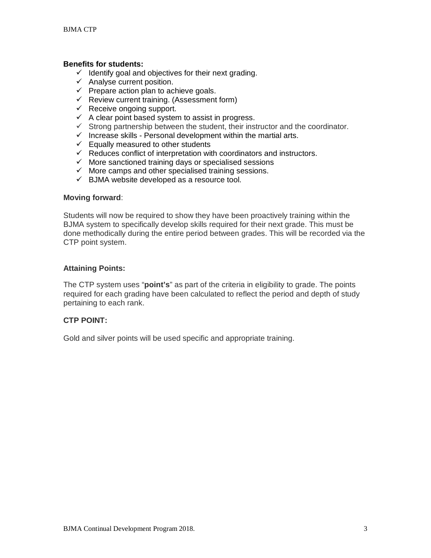# **Benefits for students:**

- $\checkmark$  Identify goal and objectives for their next grading.
- $\checkmark$  Analyse current position.
- $\checkmark$  Prepare action plan to achieve goals.
- $\checkmark$  Review current training. (Assessment form)
- $\checkmark$  Receive ongoing support.
- $\checkmark$  A clear point based system to assist in progress.
- $\checkmark$  Strong partnership between the student, their instructor and the coordinator.
- $\checkmark$  Increase skills Personal development within the martial arts.
- $\checkmark$  Equally measured to other students
- $\checkmark$  Reduces conflict of interpretation with coordinators and instructors.
- $\checkmark$  More sanctioned training days or specialised sessions
- $\checkmark$  More camps and other specialised training sessions.
- $\checkmark$  BJMA website developed as a resource tool.

### **Moving forward**:

Students will now be required to show they have been proactively training within the BJMA system to specifically develop skills required for their next grade. This must be done methodically during the entire period between grades. This will be recorded via the CTP point system.

# **Attaining Points:**

The CTP system uses "**point's**" as part of the criteria in eligibility to grade. The points required for each grading have been calculated to reflect the period and depth of study pertaining to each rank.

# **CTP POINT:**

Gold and silver points will be used specific and appropriate training.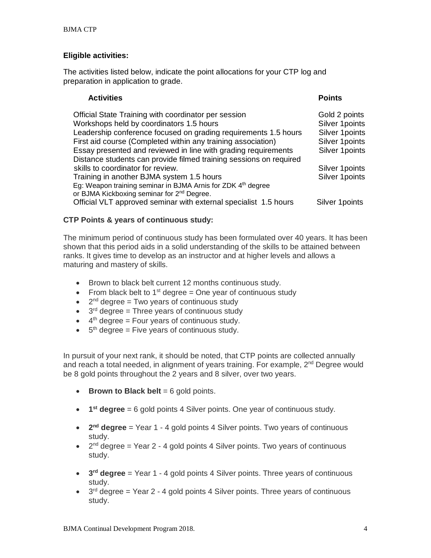# **Eligible activities:**

The activities listed below, indicate the point allocations for your CTP log and preparation in application to grade.

# Activities **Points**

| Official State Training with coordinator per session<br>Workshops held by coordinators 1.5 hours<br>Leadership conference focused on grading requirements 1.5 hours<br>First aid course (Completed within any training association)<br>Essay presented and reviewed in line with grading requirements<br>Distance students can provide filmed training sessions on required | Gold 2 points<br>Silver 1 points<br>Silver 1 points<br>Silver 1 points<br>Silver 1 points |
|-----------------------------------------------------------------------------------------------------------------------------------------------------------------------------------------------------------------------------------------------------------------------------------------------------------------------------------------------------------------------------|-------------------------------------------------------------------------------------------|
| skills to coordinator for review.                                                                                                                                                                                                                                                                                                                                           | Silver 1 points                                                                           |
| Training in another BJMA system 1.5 hours                                                                                                                                                                                                                                                                                                                                   | Silver 1 points                                                                           |
| Eg: Weapon training seminar in BJMA Arnis for ZDK 4 <sup>th</sup> degree<br>or BJMA Kickboxing seminar for 2 <sup>nd</sup> Degree.                                                                                                                                                                                                                                          |                                                                                           |
| Official VLT approved seminar with external specialist 1.5 hours                                                                                                                                                                                                                                                                                                            | Silver 1 points                                                                           |

# **CTP Points & years of continuous study:**

The minimum period of continuous study has been formulated over 40 years. It has been shown that this period aids in a solid understanding of the skills to be attained between ranks. It gives time to develop as an instructor and at higher levels and allows a maturing and mastery of skills.

- Brown to black belt current 12 months continuous study.
- From black belt to 1<sup>st</sup> degree  $=$  One year of continuous study
- $2<sup>nd</sup>$  degree = Two years of continuous study
- $\bullet$  3<sup>rd</sup> degree = Three years of continuous study
- $\bullet$  4<sup>th</sup> degree = Four years of continuous study.
- $\bullet$  5<sup>th</sup> degree = Five years of continuous study.

In pursuit of your next rank, it should be noted, that CTP points are collected annually and reach a total needed, in alignment of years training. For example, 2<sup>nd</sup> Degree would be 8 gold points throughout the 2 years and 8 silver, over two years.

- **Brown to Black belt** = 6 gold points.
- **1st degree** = 6 gold points 4 Silver points. One year of continuous study.
- **2nd degree** = Year 1 4 gold points 4 Silver points. Two years of continuous study.
- $2<sup>nd</sup>$  degree = Year 2 4 gold points 4 Silver points. Two years of continuous study.
- **3rd degree** = Year 1 4 gold points 4 Silver points. Three years of continuous study.
- $3<sup>rd</sup>$  degree = Year 2 4 gold points 4 Silver points. Three years of continuous study.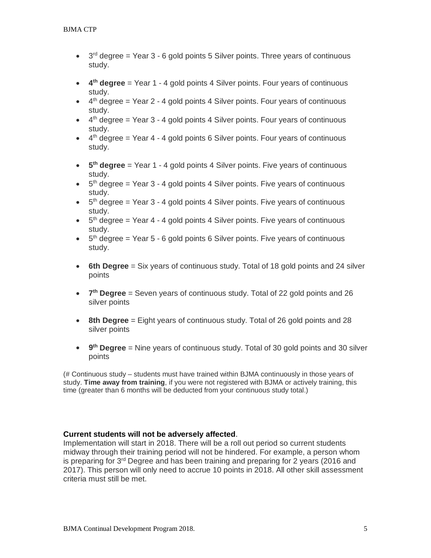- $\bullet$  3<sup>rd</sup> degree = Year 3 6 gold points 5 Silver points. Three years of continuous study.
- **4th degree** = Year 1 4 gold points 4 Silver points. Four years of continuous study.
- $\bullet$  4<sup>th</sup> degree = Year 2 4 gold points 4 Silver points. Four years of continuous study.
- $\bullet$  4<sup>th</sup> degree = Year 3 4 gold points 4 Silver points. Four years of continuous study.
- $\bullet$  4<sup>th</sup> degree = Year 4 4 gold points 6 Silver points. Four years of continuous study.
- **5th degree** = Year 1 4 gold points 4 Silver points. Five years of continuous study.
- $\bullet$  5<sup>th</sup> degree = Year 3 4 gold points 4 Silver points. Five years of continuous study.
- $\bullet$  5<sup>th</sup> degree = Year 3 4 gold points 4 Silver points. Five years of continuous study.
- $\bullet$  5<sup>th</sup> degree = Year 4 4 gold points 4 Silver points. Five years of continuous study.
- $\bullet$  5<sup>th</sup> degree = Year 5 6 gold points 6 Silver points. Five years of continuous study.
- **6th Degree** = Six years of continuous study. Total of 18 gold points and 24 silver points
- **7th Degree** = Seven years of continuous study. Total of 22 gold points and 26 silver points
- **8th Degree** = Eight years of continuous study. Total of 26 gold points and 28 silver points
- **9th Degree** = Nine years of continuous study. Total of 30 gold points and 30 silver points

(# Continuous study – students must have trained within BJMA continuously in those years of study. **Time away from training**, if you were not registered with BJMA or actively training, this time (greater than 6 months will be deducted from your continuous study total.)

# **Current students will not be adversely affected**.

Implementation will start in 2018. There will be a roll out period so current students midway through their training period will not be hindered. For example, a person whom is preparing for 3<sup>rd</sup> Degree and has been training and preparing for 2 years (2016 and 2017). This person will only need to accrue 10 points in 2018. All other skill assessment criteria must still be met.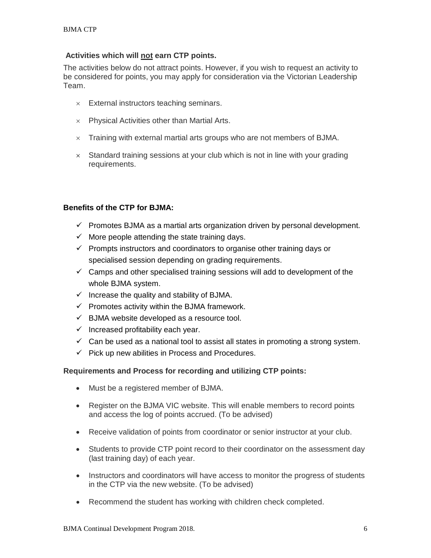# **Activities which will not earn CTP points.**

The activities below do not attract points. However, if you wish to request an activity to be considered for points, you may apply for consideration via the Victorian Leadership Team.

- $\times$  External instructors teaching seminars.
- $\times$  Physical Activities other than Martial Arts.
- $\times$  Training with external martial arts groups who are not members of BJMA.
- $\times$  Standard training sessions at your club which is not in line with your grading requirements.

# **Benefits of the CTP for BJMA:**

- $\checkmark$  Promotes BJMA as a martial arts organization driven by personal development.
- $\checkmark$  More people attending the state training days.
- $\checkmark$  Prompts instructors and coordinators to organise other training days or specialised session depending on grading requirements.
- $\checkmark$  Camps and other specialised training sessions will add to development of the whole BJMA system.
- $\checkmark$  Increase the quality and stability of BJMA.
- $\checkmark$  Promotes activity within the BJMA framework.
- $\checkmark$  BJMA website developed as a resource tool.
- $\checkmark$  Increased profitability each year.
- $\checkmark$  Can be used as a national tool to assist all states in promoting a strong system.
- $\checkmark$  Pick up new abilities in Process and Procedures.

# **Requirements and Process for recording and utilizing CTP points:**

- Must be a registered member of BJMA.
- Register on the BJMA VIC website. This will enable members to record points and access the log of points accrued. (To be advised)
- Receive validation of points from coordinator or senior instructor at your club.
- Students to provide CTP point record to their coordinator on the assessment day (last training day) of each year.
- Instructors and coordinators will have access to monitor the progress of students in the CTP via the new website. (To be advised)
- Recommend the student has working with children check completed.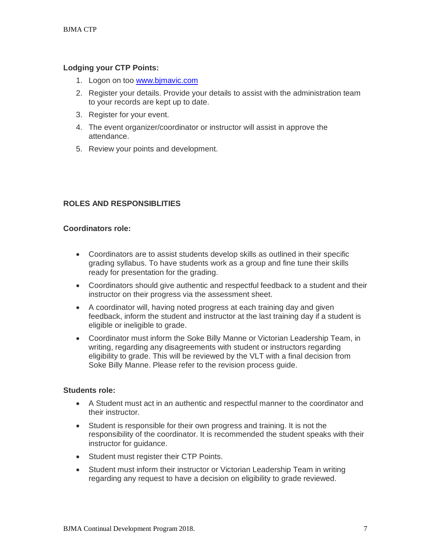# **Lodging your CTP Points:**

- 1. Logon on too [www.bjmavic.com](http://www.bjmavic.com/)
- 2. Register your details. Provide your details to assist with the administration team to your records are kept up to date.
- 3. Register for your event.
- 4. The event organizer/coordinator or instructor will assist in approve the attendance.
- 5. Review your points and development.

# **ROLES AND RESPONSIBLITIES**

# **Coordinators role:**

- Coordinators are to assist students develop skills as outlined in their specific grading syllabus. To have students work as a group and fine tune their skills ready for presentation for the grading.
- Coordinators should give authentic and respectful feedback to a student and their instructor on their progress via the assessment sheet.
- A coordinator will, having noted progress at each training day and given feedback, inform the student and instructor at the last training day if a student is eligible or ineligible to grade.
- Coordinator must inform the Soke Billy Manne or Victorian Leadership Team, in writing, regarding any disagreements with student or instructors regarding eligibility to grade. This will be reviewed by the VLT with a final decision from Soke Billy Manne. Please refer to the revision process guide.

### **Students role:**

- A Student must act in an authentic and respectful manner to the coordinator and their instructor.
- Student is responsible for their own progress and training. It is not the responsibility of the coordinator. It is recommended the student speaks with their instructor for guidance.
- Student must register their CTP Points.
- Student must inform their instructor or Victorian Leadership Team in writing regarding any request to have a decision on eligibility to grade reviewed.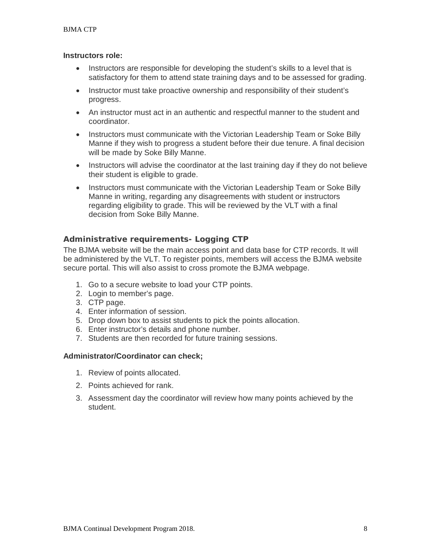### **Instructors role:**

- Instructors are responsible for developing the student's skills to a level that is satisfactory for them to attend state training days and to be assessed for grading.
- Instructor must take proactive ownership and responsibility of their student's progress.
- An instructor must act in an authentic and respectful manner to the student and coordinator.
- Instructors must communicate with the Victorian Leadership Team or Soke Billy Manne if they wish to progress a student before their due tenure. A final decision will be made by Soke Billy Manne.
- Instructors will advise the coordinator at the last training day if they do not believe their student is eligible to grade.
- Instructors must communicate with the Victorian Leadership Team or Soke Billy Manne in writing, regarding any disagreements with student or instructors regarding eligibility to grade. This will be reviewed by the VLT with a final decision from Soke Billy Manne.

# **Administrative requirements- Logging CTP**

The BJMA website will be the main access point and data base for CTP records. It will be administered by the VLT. To register points, members will access the BJMA website secure portal. This will also assist to cross promote the BJMA webpage.

- 1. Go to a secure website to load your CTP points.
- 2. Login to member's page.
- 3. CTP page.
- 4. Enter information of session.
- 5. Drop down box to assist students to pick the points allocation.
- 6. Enter instructor's details and phone number.
- 7. Students are then recorded for future training sessions.

# **Administrator/Coordinator can check;**

- 1. Review of points allocated.
- 2. Points achieved for rank.
- 3. Assessment day the coordinator will review how many points achieved by the student.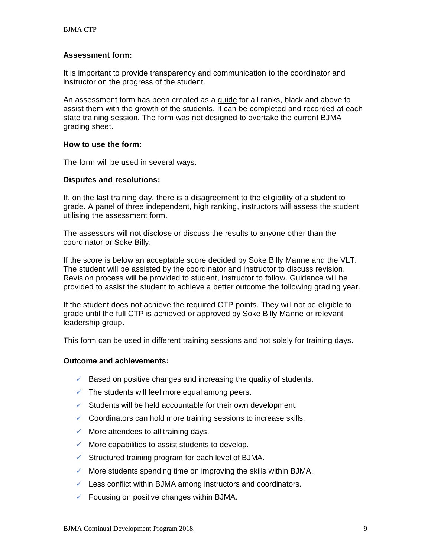# **Assessment form:**

It is important to provide transparency and communication to the coordinator and instructor on the progress of the student.

An assessment form has been created as a guide for all ranks, black and above to assist them with the growth of the students. It can be completed and recorded at each state training session. The form was not designed to overtake the current BJMA grading sheet.

### **How to use the form:**

The form will be used in several ways.

# **Disputes and resolutions:**

If, on the last training day, there is a disagreement to the eligibility of a student to grade. A panel of three independent, high ranking, instructors will assess the student utilising the assessment form.

The assessors will not disclose or discuss the results to anyone other than the coordinator or Soke Billy.

If the score is below an acceptable score decided by Soke Billy Manne and the VLT. The student will be assisted by the coordinator and instructor to discuss revision. Revision process will be provided to student, instructor to follow. Guidance will be provided to assist the student to achieve a better outcome the following grading year.

If the student does not achieve the required CTP points. They will not be eligible to grade until the full CTP is achieved or approved by Soke Billy Manne or relevant leadership group.

This form can be used in different training sessions and not solely for training days.

# **Outcome and achievements:**

- $\checkmark$  Based on positive changes and increasing the quality of students.
- $\checkmark$  The students will feel more equal among peers.
- $\checkmark$  Students will be held accountable for their own development.
- $\checkmark$  Coordinators can hold more training sessions to increase skills.
- $\checkmark$  More attendees to all training days.
- $\checkmark$  More capabilities to assist students to develop.
- $\checkmark$  Structured training program for each level of BJMA.
- $\checkmark$  More students spending time on improving the skills within BJMA.
- $\checkmark$  Less conflict within BJMA among instructors and coordinators.
- $\checkmark$  Focusing on positive changes within BJMA.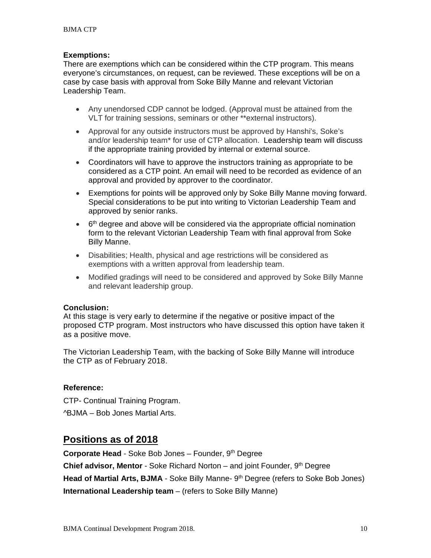# **Exemptions:**

There are exemptions which can be considered within the CTP program. This means everyone's circumstances, on request, can be reviewed. These exceptions will be on a case by case basis with approval from Soke Billy Manne and relevant Victorian Leadership Team.

- Any unendorsed CDP cannot be lodged. (Approval must be attained from the VLT for training sessions, seminars or other \*\*external instructors).
- Approval for any outside instructors must be approved by Hanshi's, Soke's and/or leadership team\* for use of CTP allocation. Leadership team will discuss if the appropriate training provided by internal or external source.
- Coordinators will have to approve the instructors training as appropriate to be considered as a CTP point. An email will need to be recorded as evidence of an approval and provided by approver to the coordinator.
- Exemptions for points will be approved only by Soke Billy Manne moving forward. Special considerations to be put into writing to Victorian Leadership Team and approved by senior ranks.
- $\bullet$  6<sup>th</sup> degree and above will be considered via the appropriate official nomination form to the relevant Victorian Leadership Team with final approval from Soke Billy Manne.
- Disabilities; Health, physical and age restrictions will be considered as exemptions with a written approval from leadership team.
- Modified gradings will need to be considered and approved by Soke Billy Manne and relevant leadership group.

# **Conclusion:**

At this stage is very early to determine if the negative or positive impact of the proposed CTP program. Most instructors who have discussed this option have taken it as a positive move.

The Victorian Leadership Team, with the backing of Soke Billy Manne will introduce the CTP as of February 2018.

### **Reference:**

CTP- Continual Training Program. ^BJMA – Bob Jones Martial Arts.

# **Positions as of 2018**

**Corporate Head** - Soke Bob Jones – Founder, 9th Degree

**Chief advisor, Mentor** - Soke Richard Norton – and joint Founder, 9<sup>th</sup> Degree

**Head of Martial Arts, BJMA** - Soke Billy Manne- 9<sup>th</sup> Degree (refers to Soke Bob Jones)

**International Leadership team** – (refers to Soke Billy Manne)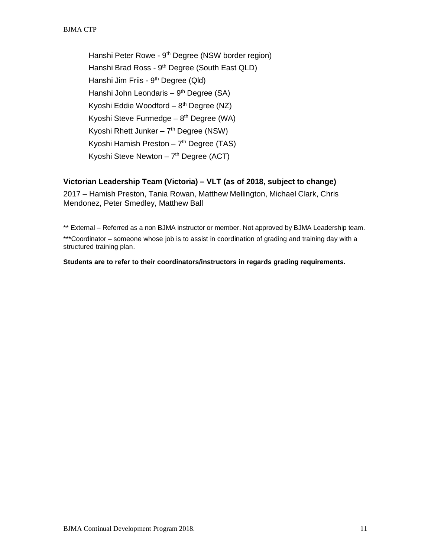Hanshi Peter Rowe - 9<sup>th</sup> Degree (NSW border region) Hanshi Brad Ross - 9<sup>th</sup> Degree (South East QLD) Hanshi Jim Friis - 9th Degree (Qld) Hanshi John Leondaris –  $9<sup>th</sup>$  Degree (SA) Kyoshi Eddie Woodford –  $8<sup>th</sup>$  Degree (NZ) Kyoshi Steve Furmedge –  $8<sup>th</sup>$  Degree (WA) Kyoshi Rhett Junker –  $7<sup>th</sup>$  Degree (NSW) Kyoshi Hamish Preston –  $7<sup>th</sup>$  Degree (TAS) Kyoshi Steve Newton  $-7<sup>th</sup>$  Degree (ACT)

# **Victorian Leadership Team (Victoria) – VLT (as of 2018, subject to change)**

2017 – Hamish Preston, Tania Rowan, Matthew Mellington, Michael Clark, Chris Mendonez, Peter Smedley, Matthew Ball

\*\* External – Referred as a non BJMA instructor or member. Not approved by BJMA Leadership team.

\*\*\*Coordinator – someone whose [job](http://dictionary.cambridge.org/dictionary/english/job) is to assist in coordination of grading and training day with a structured training plan.

**Students are to refer to their coordinators/instructors in regards grading requirements.**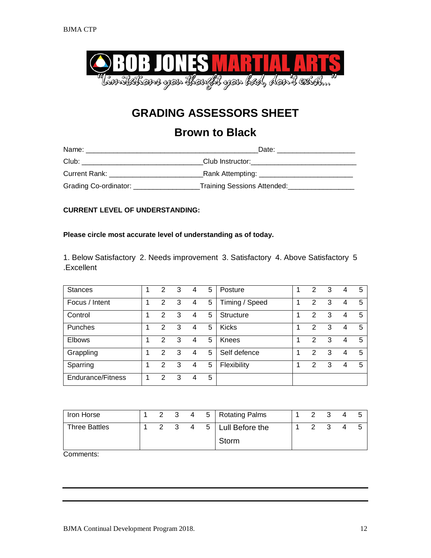

# **Brown to Black**

| Name:                            | Date:                                 |
|----------------------------------|---------------------------------------|
| Club:                            | Club Instructor: Club Instructor:     |
| Current Rank:                    | Rank Attempting: _______________      |
| Grading Co-ordinator: __________ | Training Sessions Attended: _________ |

# **CURRENT LEVEL OF UNDERSTANDING:**

### **Please circle most accurate level of understanding as of today.**

1. Below Satisfactory 2. Needs improvement 3. Satisfactory 4. Above Satisfactory 5 .Excellent

| <b>Stances</b>           | 2 | 3 | 4 | 5 | Posture        | $\overline{2}$ | 3 | 4 | -5 |
|--------------------------|---|---|---|---|----------------|----------------|---|---|----|
| Focus / Intent           | 2 | 3 | 4 | 5 | Timing / Speed | 2              | 3 | 4 | 5  |
| Control                  | 2 | 3 | 4 | 5 | Structure      | 2              | 3 | 4 | 5  |
| Punches                  | 2 | 3 | 4 | 5 | <b>Kicks</b>   | 2              | 3 | 4 | -5 |
| <b>Elbows</b>            | 2 | 3 | 4 | 5 | Knees          | 2              | 3 | 4 | 5  |
| Grappling                | 2 | 3 | 4 | 5 | Self defence   | $\mathcal{P}$  | 3 | 4 | 5  |
| Sparring                 | 2 | 3 | 4 | 5 | Flexibility    | 2              | 3 | 4 | 5  |
| <b>Endurance/Fitness</b> | 2 | 3 | 4 | 5 |                |                |   |   |    |

| Iron Horse           |  |     |  | 2 3 4 5 Rotating Palms |  |  |  |
|----------------------|--|-----|--|------------------------|--|--|--|
| <b>Three Battles</b> |  | - 3 |  | 4 5   Lull Before the  |  |  |  |
|                      |  |     |  | Storm                  |  |  |  |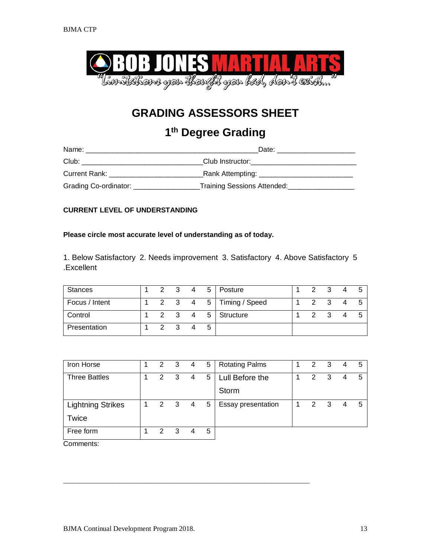

# **1th Degree Grading**

| Name:                 | Date:                                                                                                          |
|-----------------------|----------------------------------------------------------------------------------------------------------------|
| Club:                 | Club Instructor: the control of the control of the control of the control of the control of the control of the |
| Current Rank: ____    | Rank Attempting: ____________                                                                                  |
| Grading Co-ordinator: | Training Sessions Attended:                                                                                    |

# **CURRENT LEVEL OF UNDERSTANDING**

### **Please circle most accurate level of understanding as of today.**

1. Below Satisfactory 2. Needs improvement 3. Satisfactory 4. Above Satisfactory 5 .Excellent

| Stances        |               |                         |   | 2 3 4 5   Posture      | $\mathcal{P}$ | $\mathbf{3}$ | $\overline{\phantom{a}}$ |  |
|----------------|---------------|-------------------------|---|------------------------|---------------|--------------|--------------------------|--|
| Focus / Intent |               |                         |   | 2 3 4 5 Timing / Speed | 2             |              |                          |  |
| Control        |               |                         |   | 2 3 4 5 Structure      | $\mathcal{P}$ | - 3          |                          |  |
| Presentation   | $\mathcal{P}$ | $\overline{\mathbf{3}}$ | 5 |                        |               |              |                          |  |

| Iron Horse               | 2             | $\overline{\mathbf{3}}$ | 4 | 5 | <b>Rotating Palms</b> | 2 |   |   | 5 |
|--------------------------|---------------|-------------------------|---|---|-----------------------|---|---|---|---|
| <b>Three Battles</b>     | 2             | -3                      | 4 | 5 | Lull Before the       | 2 | 3 |   | 5 |
|                          |               |                         |   |   | Storm                 |   |   |   |   |
| <b>Lightning Strikes</b> | 2             | $\overline{\mathbf{3}}$ | 4 | 5 | Essay presentation    | 2 | 3 | 4 | 5 |
| Twice                    |               |                         |   |   |                       |   |   |   |   |
| Free form                | $\mathcal{P}$ | 3                       |   | 5 |                       |   |   |   |   |

\_\_\_\_\_\_\_\_\_\_\_\_\_\_\_\_\_\_\_\_\_\_\_\_\_\_\_\_\_\_\_\_\_\_\_\_\_\_\_\_\_\_\_\_\_\_\_\_\_\_\_\_\_\_\_\_\_\_\_\_\_\_\_\_\_\_\_\_\_\_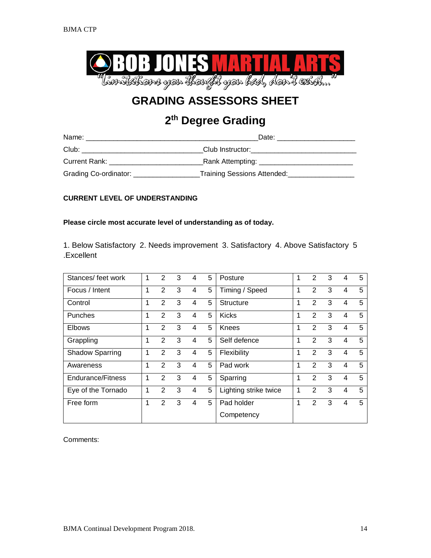

# **2th Degree Grading**

| Name:                 | Date:                         |
|-----------------------|-------------------------------|
| Club:                 | Club Instructor:              |
| Current Rank:         | Rank Attempting: ____________ |
| Grading Co-ordinator: | Training Sessions Attended:   |

# **CURRENT LEVEL OF UNDERSTANDING**

# **Please circle most accurate level of understanding as of today.**

1. Below Satisfactory 2. Needs improvement 3. Satisfactory 4. Above Satisfactory 5 .Excellent

| Stances/ feet work       | 1 | $\mathcal{P}$ | 3 | 4 | 5 | Posture               | 1 | 2              | 3 | 4 | 5 |
|--------------------------|---|---------------|---|---|---|-----------------------|---|----------------|---|---|---|
| Focus / Intent           | 1 | 2             | 3 | 4 | 5 | Timing / Speed        | 1 | $\overline{2}$ | 3 | 4 | 5 |
| Control                  | 1 | 2             | 3 | 4 | 5 | <b>Structure</b>      | 1 | 2              | 3 | 4 | 5 |
| <b>Punches</b>           | 1 | 2             | 3 | 4 | 5 | Kicks                 | 1 | 2              | 3 | 4 | 5 |
| <b>Elbows</b>            | 1 | 2             | 3 | 4 | 5 | Knees                 | 1 | 2              | 3 | 4 | 5 |
| Grappling                | 1 | 2             | 3 | 4 | 5 | Self defence          | 1 | 2              | 3 | 4 | 5 |
| <b>Shadow Sparring</b>   | 1 | 2             | 3 | 4 | 5 | Flexibility           | 1 | 2              | 3 | 4 | 5 |
| Awareness                | 1 | 2             | 3 | 4 | 5 | Pad work              | 1 | 2              | 3 | 4 | 5 |
| <b>Endurance/Fitness</b> | 1 | 2             | 3 | 4 | 5 | Sparring              | 1 | $\overline{2}$ | 3 | 4 | 5 |
| Eye of the Tornado       | 1 | 2             | 3 | 4 | 5 | Lighting strike twice | 1 | 2              | 3 | 4 | 5 |
| Free form                | 1 | 2             | 3 | 4 | 5 | Pad holder            | 1 | 2              | 3 | 4 | 5 |
|                          |   |               |   |   |   | Competency            |   |                |   |   |   |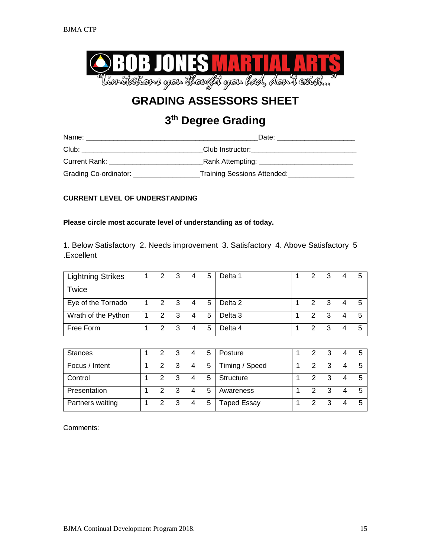

# **3th Degree Grading**

| Name:                            | Date:                                                   |
|----------------------------------|---------------------------------------------------------|
| Club:                            | Club Instructor: ______________                         |
| Current Rank:                    | Rank Attempting:                                        |
| Grading Co-ordinator: __________ | Training Sessions Attended: Training Sessions Attended: |

# **CURRENT LEVEL OF UNDERSTANDING**

# **Please circle most accurate level of understanding as of today.**

1. Below Satisfactory 2. Needs improvement 3. Satisfactory 4. Above Satisfactory 5 .Excellent

| Lightning Strikes   |   | $2 \quad 3$         |                         | 4              | 5           | Delta 1            | 2             | - 3 |   | 5   |
|---------------------|---|---------------------|-------------------------|----------------|-------------|--------------------|---------------|-----|---|-----|
| Twice               |   |                     |                         |                |             |                    |               |     |   |     |
| Eye of the Tornado  |   | $1 \quad 2 \quad 3$ |                         | 4              | $5^{\circ}$ | Delta 2            | $\mathcal{P}$ | 3   | 4 | - 5 |
| Wrath of the Python | 1 | 2                   | $\overline{\mathbf{3}}$ | $\overline{4}$ | 5           | Delta <sub>3</sub> | 2             | 3   |   | - 5 |
| Free Form           |   | $\mathcal{P}$       | $\mathbf{3}$            | $\overline{4}$ | 5           | Delta 4            | 2             | 3   |   | -5  |

| <b>Stances</b>   | 2             | 3                       | 4              | 5 | Posture            | 2             | -3           |  |
|------------------|---------------|-------------------------|----------------|---|--------------------|---------------|--------------|--|
| Focus / Intent   | 2 3           |                         | $\overline{4}$ | 5 | Timing / Speed     | 2             | -3           |  |
| Control          | $\mathcal{P}$ | $\overline{\mathbf{3}}$ | 4              | 5 | Structure          | 2             | -3           |  |
| Presentation     | $\mathcal{P}$ | $\overline{\mathbf{3}}$ |                | 5 | Awareness          | $\mathcal{P}$ | $\mathbf{3}$ |  |
| Partners waiting | $\mathcal{P}$ | $\overline{\mathbf{3}}$ | 4              | 5 | <b>Taped Essay</b> | 2             | -3           |  |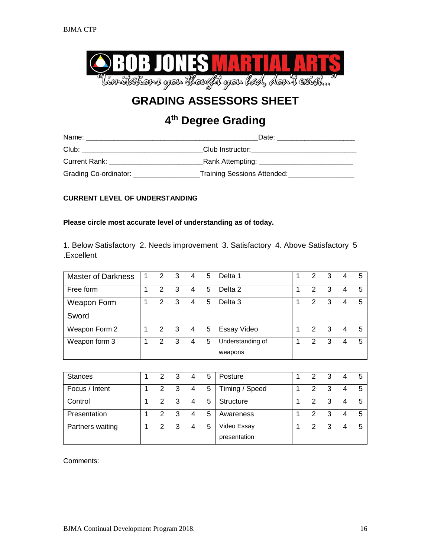

# **4th Degree Grading**

| Name:                 | Date:                              |
|-----------------------|------------------------------------|
| Club:                 | Club Instructor:                   |
| Current Rank:         | _Rank Attempting: ________________ |
| Grading Co-ordinator: | Training Sessions Attended:        |

# **CURRENT LEVEL OF UNDERSTANDING**

### **Please circle most accurate level of understanding as of today.**

1. Below Satisfactory 2. Needs improvement 3. Satisfactory 4. Above Satisfactory 5 .Excellent

| <b>Master of Darkness</b> | 1 | 2             | 3 | 4 | 5 | Delta 1          | 2 | 3 |   | 5 |
|---------------------------|---|---------------|---|---|---|------------------|---|---|---|---|
| Free form                 |   | $\mathcal{P}$ | 3 | 4 | 5 | Delta 2          | 2 | 3 | 4 | 5 |
| Weapon Form               |   | 2             | 3 | 4 | 5 | Delta 3          | 2 | 3 |   | 5 |
| Sword                     |   |               |   |   |   |                  |   |   |   |   |
| Weapon Form 2             |   | 2 3           |   | 4 | 5 | Essay Video      | 2 | 3 |   | 5 |
| Weapon form 3             |   | 2             | 3 | 4 | 5 | Understanding of | 2 | 3 |   | 5 |
|                           |   |               |   |   |   | weapons          |   |   |   |   |

| <b>Stances</b>   | $\mathcal{P}$ | 3                       | 4 | 5 | Posture                     | 2 | 3 | 5 |
|------------------|---------------|-------------------------|---|---|-----------------------------|---|---|---|
| Focus / Intent   | 2             | $\overline{\mathbf{3}}$ | 4 | 5 | Timing / Speed              | 2 | 3 | 5 |
| Control          | $\mathcal{P}$ | 3                       | 4 | 5 | Structure                   | 2 |   | 5 |
| Presentation     | $\mathcal{P}$ | 3                       | 4 | 5 | Awareness                   | 2 |   | 5 |
| Partners waiting | $\mathcal{P}$ | 3                       | 4 | 5 | Video Essay<br>presentation | 2 | 3 | 5 |
|                  |               |                         |   |   |                             |   |   |   |